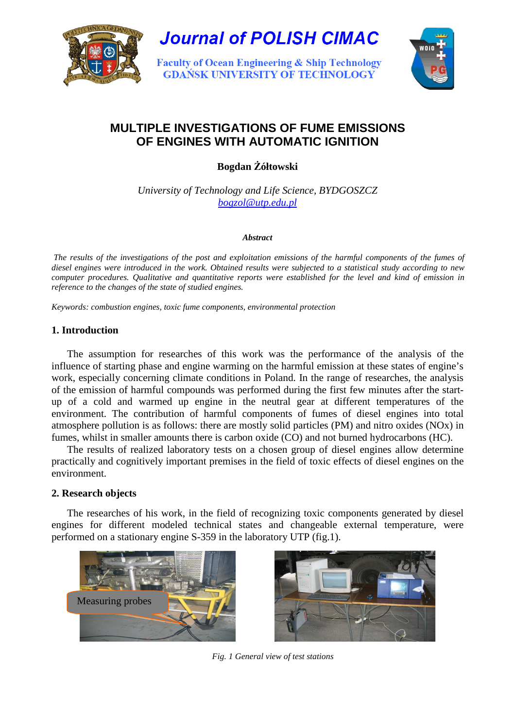

**Journal of POLISH CIMAC** 

**Faculty of Ocean Engineering & Ship Technology GDAŃSK UNIVERSITY OF TECHNOLOGY** 



# **MULTIPLE INVESTIGATIONS OF FUME EMISSIONS OF ENGINES WITH AUTOMATIC IGNITION**

**Bogdan** ś**ółtowski** 

*University of Technology and Life Science, BYDGOSZCZ bogzol@utp.edu.pl*

#### *Abstract*

*The results of the investigations of the post and exploitation emissions of the harmful components of the fumes of diesel engines were introduced in the work. Obtained results were subjected to a statistical study according to new computer procedures. Qualitative and quantitative reports were established for the level and kind of emission in reference to the changes of the state of studied engines.* 

*Keywords: combustion engines, toxic fume components, environmental protection* 

## **1. Introduction**

The assumption for researches of this work was the performance of the analysis of the influence of starting phase and engine warming on the harmful emission at these states of engine's work, especially concerning climate conditions in Poland. In the range of researches, the analysis of the emission of harmful compounds was performed during the first few minutes after the startup of a cold and warmed up engine in the neutral gear at different temperatures of the environment. The contribution of harmful components of fumes of diesel engines into total atmosphere pollution is as follows: there are mostly solid particles (PM) and nitro oxides (NOx) in fumes, whilst in smaller amounts there is carbon oxide (CO) and not burned hydrocarbons (HC).

The results of realized laboratory tests on a chosen group of diesel engines allow determine practically and cognitively important premises in the field of toxic effects of diesel engines on the environment.

## **2. Research objects**

The researches of his work, in the field of recognizing toxic components generated by diesel engines for different modeled technical states and changeable external temperature, were performed on a stationary engine S-359 in the laboratory UTP (fig.1).





*Fig. 1 General view of test stations*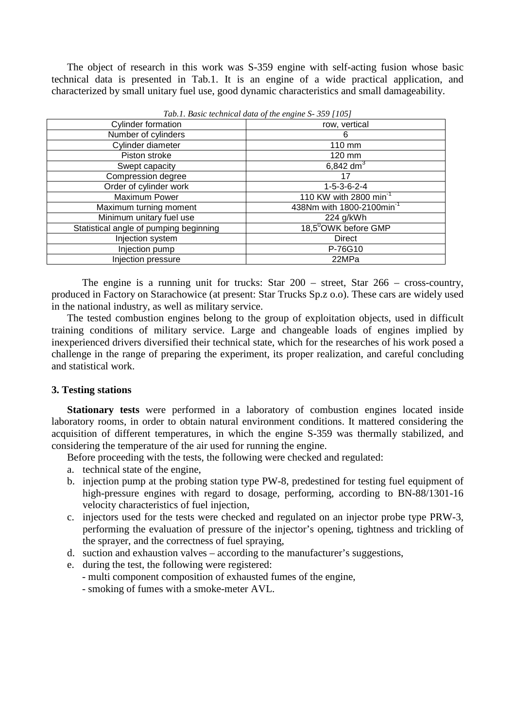The object of research in this work was S-359 engine with self-acting fusion whose basic technical data is presented in Tab.1. It is an engine of a wide practical application, and characterized by small unitary fuel use, good dynamic characteristics and small damageability.

| $\ldots$ . Below we have the company of $\ldots$ |                                       |
|--------------------------------------------------|---------------------------------------|
| <b>Cylinder formation</b>                        | row, vertical                         |
| Number of cylinders                              | 6                                     |
| Cylinder diameter                                | 110 mm                                |
| Piston stroke                                    | 120 mm                                |
| Swept capacity                                   | 6,842 $dm^3$                          |
| Compression degree                               | 17                                    |
| Order of cylinder work                           | $1 - 5 - 3 - 6 - 2 - 4$               |
| Maximum Power                                    | 110 KW with 2800 min <sup>-1</sup>    |
| Maximum turning moment                           | 438Nm with 1800-2100min <sup>-1</sup> |
| Minimum unitary fuel use                         | 224 g/kWh                             |
| Statistical angle of pumping beginning           | 18,5 <sup>0</sup> OWK before GMP      |
| Injection system                                 | <b>Direct</b>                         |
| Injection pump                                   | P-76G10                               |
| Injection pressure                               | 22MPa                                 |

*Tab.1. Basic technical data of the engine S- 359 [105]* 

The engine is a running unit for trucks: Star 200 – street, Star 266 – cross-country, produced in Factory on Starachowice (at present: Star Trucks Sp.z o.o). These cars are widely used in the national industry, as well as military service.

The tested combustion engines belong to the group of exploitation objects, used in difficult training conditions of military service. Large and changeable loads of engines implied by inexperienced drivers diversified their technical state, which for the researches of his work posed a challenge in the range of preparing the experiment, its proper realization, and careful concluding and statistical work.

#### **3. Testing stations**

**Stationary tests** were performed in a laboratory of combustion engines located inside laboratory rooms, in order to obtain natural environment conditions. It mattered considering the acquisition of different temperatures, in which the engine S-359 was thermally stabilized, and considering the temperature of the air used for running the engine.

Before proceeding with the tests, the following were checked and regulated:

- a. technical state of the engine,
- b. injection pump at the probing station type PW-8, predestined for testing fuel equipment of high-pressure engines with regard to dosage, performing, according to BN-88/1301-16 velocity characteristics of fuel injection,
- c. injectors used for the tests were checked and regulated on an injector probe type PRW-3, performing the evaluation of pressure of the injector's opening, tightness and trickling of the sprayer, and the correctness of fuel spraying,
- d. suction and exhaustion valves according to the manufacturer's suggestions,
- e. during the test, the following were registered:
	- multi component composition of exhausted fumes of the engine,
	- smoking of fumes with a smoke-meter AVL.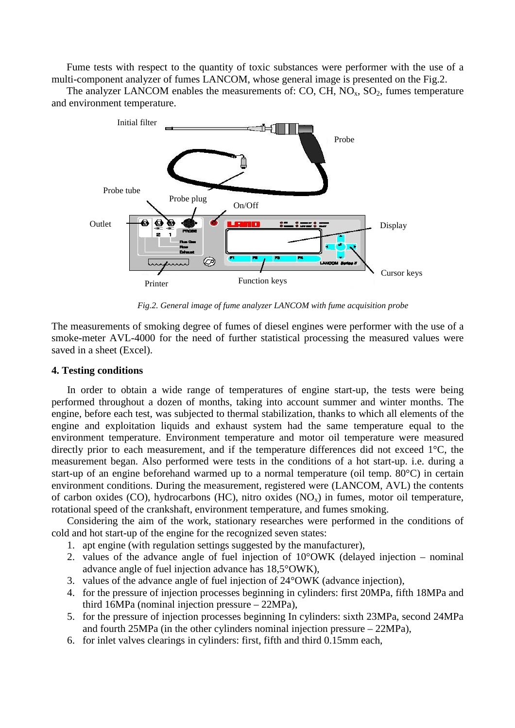Fume tests with respect to the quantity of toxic substances were performer with the use of a multi-component analyzer of fumes LANCOM, whose general image is presented on the Fig.2.

The analyzer LANCOM enables the measurements of: CO, CH,  $NO<sub>x</sub>$ ,  $SO<sub>2</sub>$ , fumes temperature and environment temperature.



*Fig.2. General image of fume analyzer LANCOM with fume acquisition probe* 

The measurements of smoking degree of fumes of diesel engines were performer with the use of a smoke-meter AVL-4000 for the need of further statistical processing the measured values were saved in a sheet (Excel).

#### **4. Testing conditions**

In order to obtain a wide range of temperatures of engine start-up, the tests were being performed throughout a dozen of months, taking into account summer and winter months. The engine, before each test, was subjected to thermal stabilization, thanks to which all elements of the engine and exploitation liquids and exhaust system had the same temperature equal to the environment temperature. Environment temperature and motor oil temperature were measured directly prior to each measurement, and if the temperature differences did not exceed 1°C, the measurement began. Also performed were tests in the conditions of a hot start-up. i.e. during a start-up of an engine beforehand warmed up to a normal temperature (oil temp. 80°C) in certain environment conditions. During the measurement, registered were (LANCOM, AVL) the contents of carbon oxides (CO), hydrocarbons (HC), nitro oxides  $(NO<sub>x</sub>)$  in fumes, motor oil temperature, rotational speed of the crankshaft, environment temperature, and fumes smoking.

Considering the aim of the work, stationary researches were performed in the conditions of cold and hot start-up of the engine for the recognized seven states:

- 1. apt engine (with regulation settings suggested by the manufacturer),
- 2. values of the advance angle of fuel injection of 10°OWK (delayed injection nominal advance angle of fuel injection advance has 18,5°OWK),
- 3. values of the advance angle of fuel injection of 24°OWK (advance injection),
- 4. for the pressure of injection processes beginning in cylinders: first 20MPa, fifth 18MPa and third 16MPa (nominal injection pressure – 22MPa),
- 5. for the pressure of injection processes beginning In cylinders: sixth 23MPa, second 24MPa and fourth 25MPa (in the other cylinders nominal injection pressure – 22MPa),
- 6. for inlet valves clearings in cylinders: first, fifth and third 0.15mm each,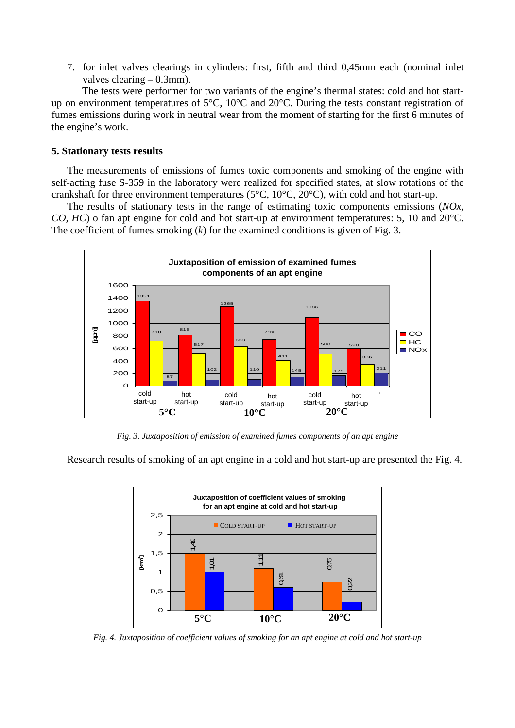7. for inlet valves clearings in cylinders: first, fifth and third 0,45mm each (nominal inlet valves clearing – 0.3mm).

The tests were performer for two variants of the engine's thermal states: cold and hot startup on environment temperatures of 5°C, 10°C and 20°C. During the tests constant registration of fumes emissions during work in neutral wear from the moment of starting for the first 6 minutes of the engine's work.

#### **5. Stationary tests results**

The measurements of emissions of fumes toxic components and smoking of the engine with self-acting fuse S-359 in the laboratory were realized for specified states, at slow rotations of the crankshaft for three environment temperatures (5 $^{\circ}$ C, 10 $^{\circ}$ C, 20 $^{\circ}$ C), with cold and hot start-up.

The results of stationary tests in the range of estimating toxic components emissions (*NOx, CO, HC*) o fan apt engine for cold and hot start-up at environment temperatures: 5, 10 and 20°C. The coefficient of fumes smoking (*k*) for the examined conditions is given of Fig. 3.



*Fig. 3. Juxtaposition of emission of examined fumes components of an apt engine* 

Research results of smoking of an apt engine in a cold and hot start-up are presented the Fig. 4.



*Fig. 4. Juxtaposition of coefficient values of smoking for an apt engine at cold and hot start-up*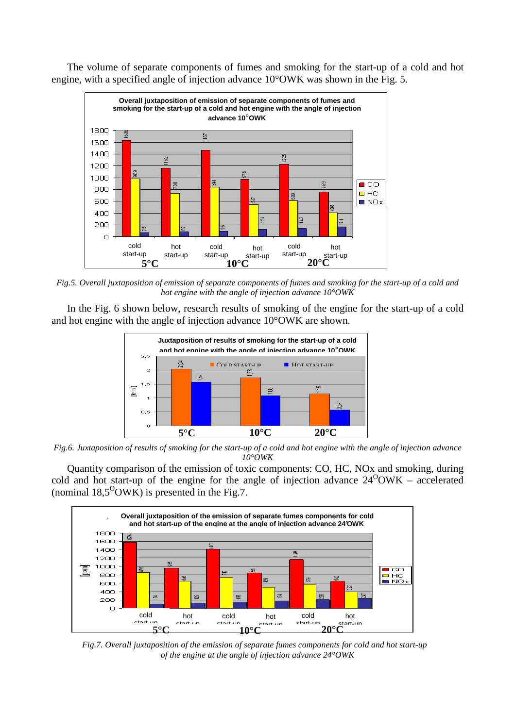



*Fig.5. Overall juxtaposition of emission of separate components of fumes and smoking for the start-up of a cold and hot engine with the angle of injection advance 10°OWK*

In the Fig. 6 shown below, research results of smoking of the engine for the start-up of a cold and hot engine with the angle of injection advance 10°OWK are shown.



*Fig.6. Juxtaposition of results of smoking for the start-up of a cold and hot engine with the angle of injection advance 10°OWK* 

Quantity comparison of the emission of toxic components: CO, HC, NOx and smoking, during cold and hot start-up of the engine for the angle of injection advance  $24^{\circ}$ OWK – accelerated (nominal  $18,5^{\circ}$ OWK) is presented in the Fig.7.



*Fig.7. Overall juxtaposition of the emission of separate fumes components for cold and hot start-up of the engine at the angle of injection advance 24°OWK*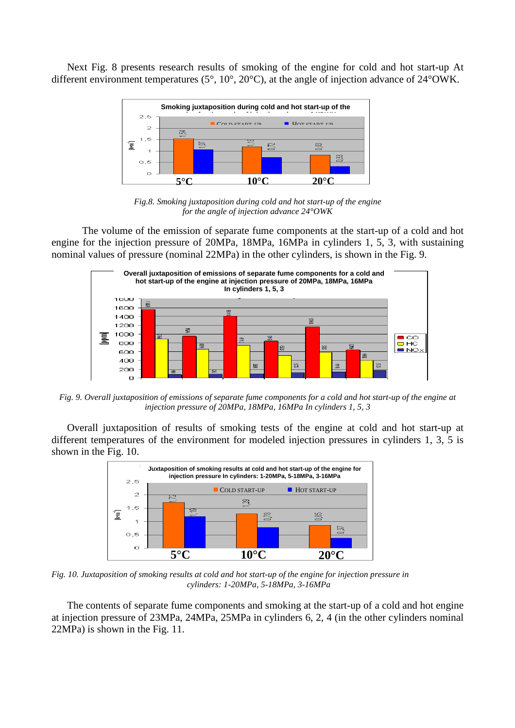Next Fig. 8 presents research results of smoking of the engine for cold and hot start-up At different environment temperatures (5°, 10°, 20°C), at the angle of injection advance of 24°OWK.



*Fig.8. Smoking juxtaposition during cold and hot start-up of the engine for the angle of injection advance 24°OWK* 

The volume of the emission of separate fume components at the start-up of a cold and hot engine for the injection pressure of 20MPa, 18MPa, 16MPa in cylinders 1, 5, 3, with sustaining nominal values of pressure (nominal 22MPa) in the other cylinders, is shown in the Fig. 9.



*Fig. 9. Overall juxtaposition of emissions of separate fume components for a cold and hot start-up of the engine at injection pressure of 20MPa, 18MPa, 16MPa In cylinders 1, 5, 3* 

Overall juxtaposition of results of smoking tests of the engine at cold and hot start-up at different temperatures of the environment for modeled injection pressures in cylinders 1, 3, 5 is shown in the Fig. 10.



*Fig. 10. Juxtaposition of smoking results at cold and hot start-up of the engine for injection pressure in cylinders: 1-20MPa, 5-18MPa, 3-16MPa* 

The contents of separate fume components and smoking at the start-up of a cold and hot engine at injection pressure of 23MPa, 24MPa, 25MPa in cylinders 6, 2, 4 (in the other cylinders nominal 22MPa) is shown in the Fig. 11.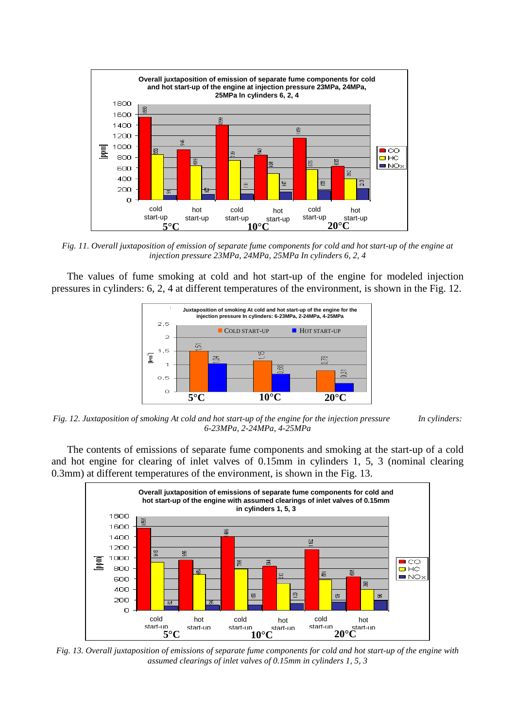

*Fig. 11. Overall juxtaposition of emission of separate fume components for cold and hot start-up of the engine at injection pressure 23MPa, 24MPa, 25MPa In cylinders 6, 2, 4* 

The values of fume smoking at cold and hot start-up of the engine for modeled injection pressures in cylinders: 6, 2, 4 at different temperatures of the environment, is shown in the Fig. 12.



*Fig. 12. Juxtaposition of smoking At cold and hot start-up of the engine for the injection pressure In cylinders: 6-23MPa, 2-24MPa, 4-25MPa* 

The contents of emissions of separate fume components and smoking at the start-up of a cold and hot engine for clearing of inlet valves of 0.15mm in cylinders 1, 5, 3 (nominal clearing 0.3mm) at different temperatures of the environment, is shown in the Fig. 13.



*Fig. 13. Overall juxtaposition of emissions of separate fume components for cold and hot start-up of the engine with assumed clearings of inlet valves of 0.15mm in cylinders 1, 5, 3*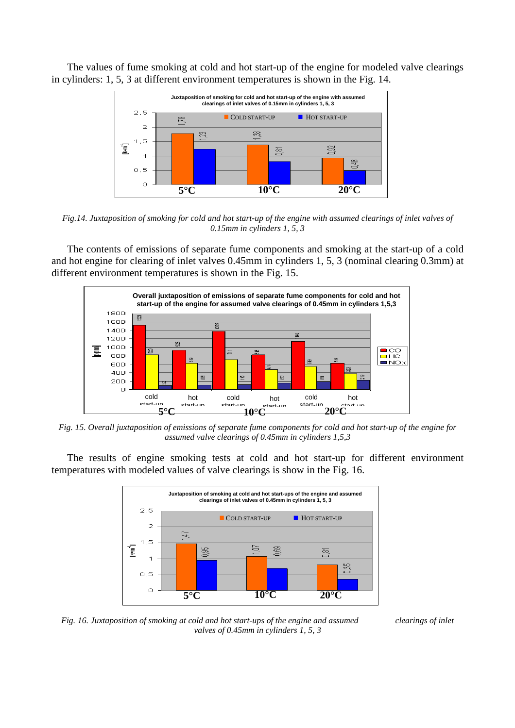The values of fume smoking at cold and hot start-up of the engine for modeled valve clearings in cylinders: 1, 5, 3 at different environment temperatures is shown in the Fig. 14.



*Fig.14. Juxtaposition of smoking for cold and hot start-up of the engine with assumed clearings of inlet valves of 0.15mm in cylinders 1, 5, 3* 

The contents of emissions of separate fume components and smoking at the start-up of a cold and hot engine for clearing of inlet valves 0.45mm in cylinders 1, 5, 3 (nominal clearing 0.3mm) at different environment temperatures is shown in the Fig. 15.



*Fig. 15. Overall juxtaposition of emissions of separate fume components for cold and hot start-up of the engine for assumed valve clearings of 0.45mm in cylinders 1,5,3* 

The results of engine smoking tests at cold and hot start-up for different environment temperatures with modeled values of valve clearings is show in the Fig. 16.



*Fig. 16. Juxtaposition of smoking at cold and hot start-ups of the engine and assumed clearings of inlet valves of 0.45mm in cylinders 1, 5, 3*